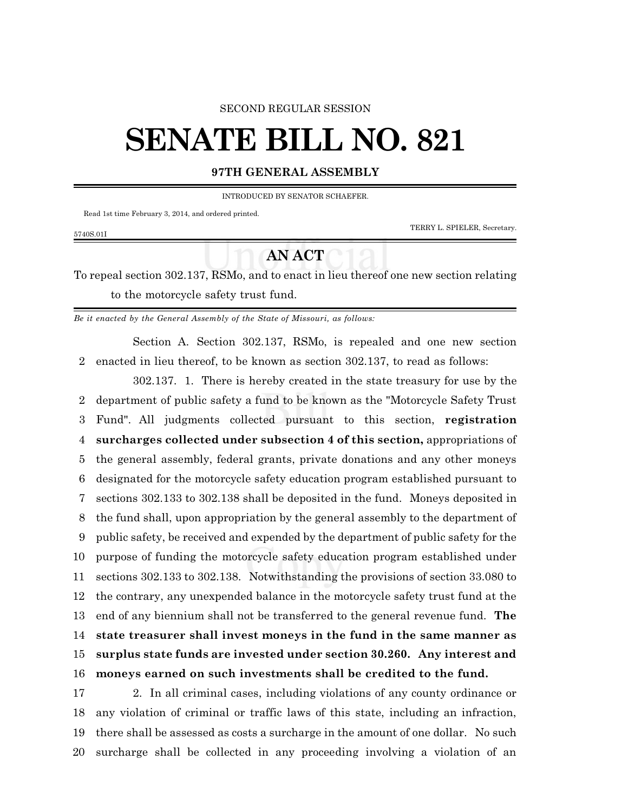#### SECOND REGULAR SESSION

# **SENATE BILL NO. 821**

#### **97TH GENERAL ASSEMBLY**

INTRODUCED BY SENATOR SCHAEFER.

Read 1st time February 3, 2014, and ordered printed.

TERRY L. SPIELER, Secretary.

### 5740S.01I

## **AN ACT**

To repeal section 302.137, RSMo, and to enact in lieu thereof one new section relating to the motorcycle safety trust fund.

*Be it enacted by the General Assembly of the State of Missouri, as follows:*

Section A. Section 302.137, RSMo, is repealed and one new section enacted in lieu thereof, to be known as section 302.137, to read as follows:

302.137. 1. There is hereby created in the state treasury for use by the department of public safety a fund to be known as the "Motorcycle Safety Trust Fund". All judgments collected pursuant to this section, **registration surcharges collected under subsection 4 of this section,** appropriations of the general assembly, federal grants, private donations and any other moneys designated for the motorcycle safety education program established pursuant to sections 302.133 to 302.138 shall be deposited in the fund. Moneys deposited in the fund shall, upon appropriation by the general assembly to the department of public safety, be received and expended by the department of public safety for the purpose of funding the motorcycle safety education program established under sections 302.133 to 302.138. Notwithstanding the provisions of section 33.080 to the contrary, any unexpended balance in the motorcycle safety trust fund at the end of any biennium shall not be transferred to the general revenue fund. **The state treasurer shall invest moneys in the fund in the same manner as surplus state funds are invested under section 30.260. Any interest and moneys earned on such investments shall be credited to the fund.**

 2. In all criminal cases, including violations of any county ordinance or any violation of criminal or traffic laws of this state, including an infraction, there shall be assessed as costs a surcharge in the amount of one dollar. No such surcharge shall be collected in any proceeding involving a violation of an